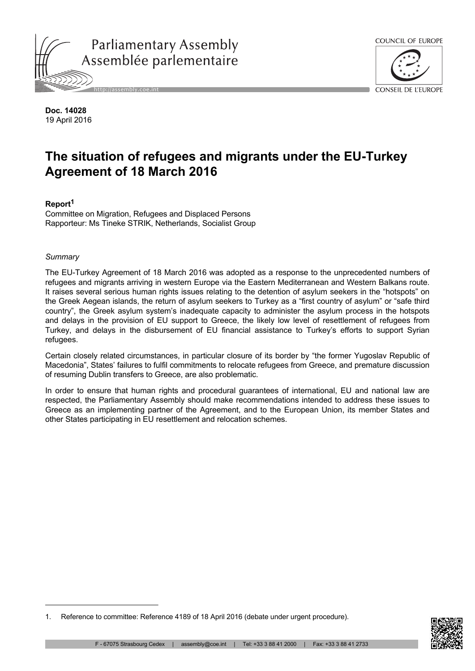



**Doc. 14028** 19 April 2016

# **The situation of refugees and migrants under the EU-Turkey Agreement of 18 March 2016**

# **Report<sup>1</sup>**

Committee on Migration, Refugees and Displaced Persons Rapporteur: Ms Tineke STRIK, Netherlands, Socialist Group

# *Summary*

The EU-Turkey Agreement of 18 March 2016 was adopted as a response to the unprecedented numbers of refugees and migrants arriving in western Europe via the Eastern Mediterranean and Western Balkans route. It raises several serious human rights issues relating to the detention of asylum seekers in the "hotspots" on the Greek Aegean islands, the return of asylum seekers to Turkey as a "first country of asylum" or "safe third country", the Greek asylum system's inadequate capacity to administer the asylum process in the hotspots and delays in the provision of EU support to Greece, the likely low level of resettlement of refugees from Turkey, and delays in the disbursement of EU financial assistance to Turkey's efforts to support Syrian refugees.

Certain closely related circumstances, in particular closure of its border by "the former Yugoslav Republic of Macedonia", States' failures to fulfil commitments to relocate refugees from Greece, and premature discussion of resuming Dublin transfers to Greece, are also problematic.

In order to ensure that human rights and procedural guarantees of international, EU and national law are respected, the Parliamentary Assembly should make recommendations intended to address these issues to Greece as an implementing partner of the Agreement, and to the European Union, its member States and other States participating in EU resettlement and relocation schemes.



<sup>1.</sup> Reference to committee: Reference 4189 of 18 April 2016 (debate under urgent procedure).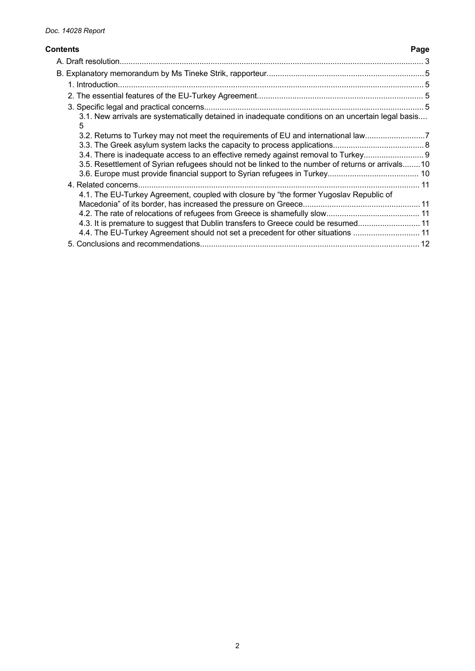# **Contents Page**

|  | 3.1. New arrivals are systematically detained in inadequate conditions on an uncertain legal basis<br>5 |  |
|--|---------------------------------------------------------------------------------------------------------|--|
|  | 3.2. Returns to Turkey may not meet the requirements of EU and international law7                       |  |
|  |                                                                                                         |  |
|  | 3.4. There is inadequate access to an effective remedy against removal to Turkey                        |  |
|  | 3.5. Resettlement of Syrian refugees should not be linked to the number of returns or arrivals10        |  |
|  |                                                                                                         |  |
|  |                                                                                                         |  |
|  | 4.1. The EU-Turkey Agreement, coupled with closure by "the former Yugoslav Republic of                  |  |
|  |                                                                                                         |  |
|  |                                                                                                         |  |
|  | 4.3. It is premature to suggest that Dublin transfers to Greece could be resumed 11                     |  |
|  | 4.4. The EU-Turkey Agreement should not set a precedent for other situations 11                         |  |
|  |                                                                                                         |  |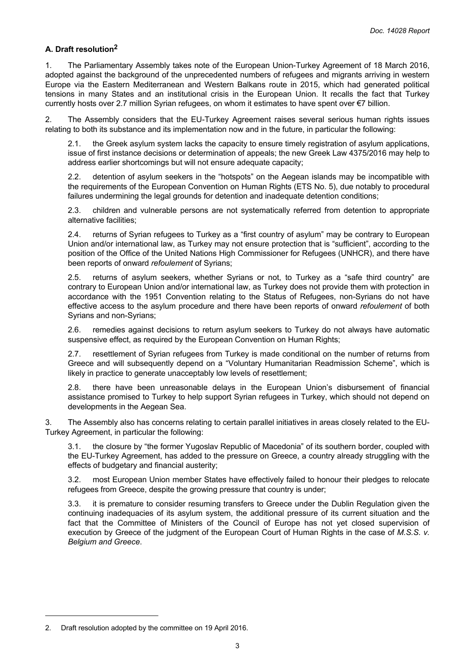# <span id="page-2-0"></span>**A. Draft resolution<sup>2</sup>**

1. The Parliamentary Assembly takes note of the European Union-Turkey Agreement of 18 March 2016, adopted against the background of the unprecedented numbers of refugees and migrants arriving in western Europe via the Eastern Mediterranean and Western Balkans route in 2015, which had generated political tensions in many States and an institutional crisis in the European Union. It recalls the fact that Turkey currently hosts over 2.7 million Syrian refugees, on whom it estimates to have spent over €7 billion.

2. The Assembly considers that the EU-Turkey Agreement raises several serious human rights issues relating to both its substance and its implementation now and in the future, in particular the following:

2.1. the Greek asylum system lacks the capacity to ensure timely registration of asylum applications, issue of first instance decisions or determination of appeals; the new Greek Law 4375/2016 may help to address earlier shortcomings but will not ensure adequate capacity;

2.2. detention of asylum seekers in the "hotspots" on the Aegean islands may be incompatible with the requirements of the European Convention on Human Rights (ETS No. 5), due notably to procedural failures undermining the legal grounds for detention and inadequate detention conditions;

2.3. children and vulnerable persons are not systematically referred from detention to appropriate alternative facilities;

2.4. returns of Syrian refugees to Turkey as a "first country of asylum" may be contrary to European Union and/or international law, as Turkey may not ensure protection that is "sufficient", according to the position of the Office of the United Nations High Commissioner for Refugees (UNHCR), and there have been reports of onward *refoulement* of Syrians;

2.5. returns of asylum seekers, whether Syrians or not, to Turkey as a "safe third country" are contrary to European Union and/or international law, as Turkey does not provide them with protection in accordance with the 1951 Convention relating to the Status of Refugees, non-Syrians do not have effective access to the asylum procedure and there have been reports of onward *refoulement* of both Syrians and non-Syrians;

2.6. remedies against decisions to return asylum seekers to Turkey do not always have automatic suspensive effect, as required by the European Convention on Human Rights;

2.7. resettlement of Syrian refugees from Turkey is made conditional on the number of returns from Greece and will subsequently depend on a "Voluntary Humanitarian Readmission Scheme", which is likely in practice to generate unacceptably low levels of resettlement;

2.8. there have been unreasonable delays in the European Union's disbursement of financial assistance promised to Turkey to help support Syrian refugees in Turkey, which should not depend on developments in the Aegean Sea.

3. The Assembly also has concerns relating to certain parallel initiatives in areas closely related to the EU-Turkey Agreement, in particular the following:

3.1. the closure by "the former Yugoslav Republic of Macedonia" of its southern border, coupled with the EU-Turkey Agreement, has added to the pressure on Greece, a country already struggling with the effects of budgetary and financial austerity;

3.2. most European Union member States have effectively failed to honour their pledges to relocate refugees from Greece, despite the growing pressure that country is under;

3.3. it is premature to consider resuming transfers to Greece under the Dublin Regulation given the continuing inadequacies of its asylum system, the additional pressure of its current situation and the fact that the Committee of Ministers of the Council of Europe has not yet closed supervision of execution by Greece of the judgment of the European Court of Human Rights in the case of *M.S.S. v. Belgium and Greece*.

<sup>2.</sup> Draft resolution adopted by the committee on 19 April 2016.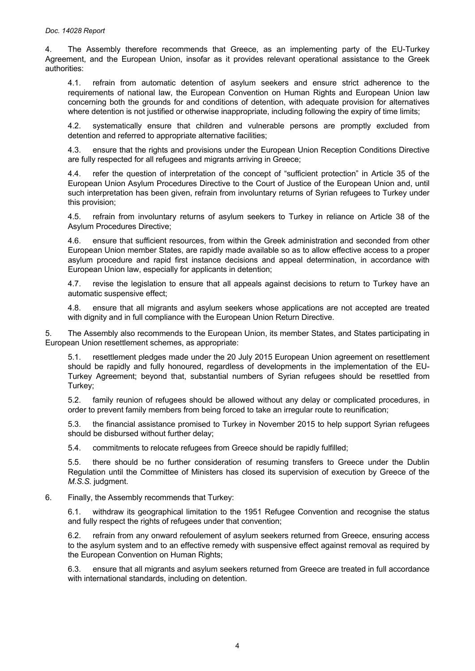4. The Assembly therefore recommends that Greece, as an implementing party of the EU-Turkey Agreement, and the European Union, insofar as it provides relevant operational assistance to the Greek authorities:

4.1. refrain from automatic detention of asylum seekers and ensure strict adherence to the requirements of national law, the European Convention on Human Rights and European Union law concerning both the grounds for and conditions of detention, with adequate provision for alternatives where detention is not justified or otherwise inappropriate, including following the expiry of time limits;

4.2. systematically ensure that children and vulnerable persons are promptly excluded from detention and referred to appropriate alternative facilities;

4.3. ensure that the rights and provisions under the European Union Reception Conditions Directive are fully respected for all refugees and migrants arriving in Greece;

4.4. refer the question of interpretation of the concept of "sufficient protection" in Article 35 of the European Union Asylum Procedures Directive to the Court of Justice of the European Union and, until such interpretation has been given, refrain from involuntary returns of Syrian refugees to Turkey under this provision;

4.5. refrain from involuntary returns of asylum seekers to Turkey in reliance on Article 38 of the Asylum Procedures Directive;

4.6. ensure that sufficient resources, from within the Greek administration and seconded from other European Union member States, are rapidly made available so as to allow effective access to a proper asylum procedure and rapid first instance decisions and appeal determination, in accordance with European Union law, especially for applicants in detention;

4.7. revise the legislation to ensure that all appeals against decisions to return to Turkey have an automatic suspensive effect;

4.8. ensure that all migrants and asylum seekers whose applications are not accepted are treated with dignity and in full compliance with the European Union Return Directive.

5. The Assembly also recommends to the European Union, its member States, and States participating in European Union resettlement schemes, as appropriate:

5.1. resettlement pledges made under the 20 July 2015 European Union agreement on resettlement should be rapidly and fully honoured, regardless of developments in the implementation of the EU-Turkey Agreement; beyond that, substantial numbers of Syrian refugees should be resettled from Turkey;

5.2. family reunion of refugees should be allowed without any delay or complicated procedures, in order to prevent family members from being forced to take an irregular route to reunification;

5.3. the financial assistance promised to Turkey in November 2015 to help support Syrian refugees should be disbursed without further delay;

5.4. commitments to relocate refugees from Greece should be rapidly fulfilled;

5.5. there should be no further consideration of resuming transfers to Greece under the Dublin Regulation until the Committee of Ministers has closed its supervision of execution by Greece of the *M.S.S.* judgment.

6. Finally, the Assembly recommends that Turkey:

6.1. withdraw its geographical limitation to the 1951 Refugee Convention and recognise the status and fully respect the rights of refugees under that convention;

6.2. refrain from any onward refoulement of asylum seekers returned from Greece, ensuring access to the asylum system and to an effective remedy with suspensive effect against removal as required by the European Convention on Human Rights;

6.3. ensure that all migrants and asylum seekers returned from Greece are treated in full accordance with international standards, including on detention.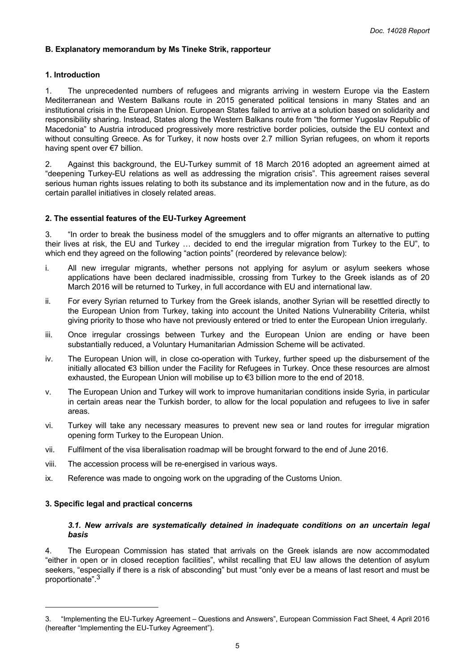# <span id="page-4-0"></span>**B. Explanatory memorandum by Ms Tineke Strik, rapporteur**

## **1. Introduction**

1. The unprecedented numbers of refugees and migrants arriving in western Europe via the Eastern Mediterranean and Western Balkans route in 2015 generated political tensions in many States and an institutional crisis in the European Union. European States failed to arrive at a solution based on solidarity and responsibility sharing. Instead, States along the Western Balkans route from "the former Yugoslav Republic of Macedonia" to Austria introduced progressively more restrictive border policies, outside the EU context and without consulting Greece. As for Turkey, it now hosts over 2.7 million Syrian refugees, on whom it reports having spent over €7 billion.

2. Against this background, the EU-Turkey summit of 18 March 2016 adopted an agreement aimed at "deepening Turkey-EU relations as well as addressing the migration crisis". This agreement raises several serious human rights issues relating to both its substance and its implementation now and in the future, as do certain parallel initiatives in closely related areas.

## **2. The essential features of the EU-Turkey Agreement**

3. "In order to break the business model of the smugglers and to offer migrants an alternative to putting their lives at risk, the EU and Turkey … decided to end the irregular migration from Turkey to the EU", to which end they agreed on the following "action points" (reordered by relevance below):

- i. All new irregular migrants, whether persons not applying for asylum or asylum seekers whose applications have been declared inadmissible, crossing from Turkey to the Greek islands as of 20 March 2016 will be returned to Turkey, in full accordance with EU and international law.
- ii. For every Syrian returned to Turkey from the Greek islands, another Syrian will be resettled directly to the European Union from Turkey, taking into account the United Nations Vulnerability Criteria, whilst giving priority to those who have not previously entered or tried to enter the European Union irregularly.
- iii. Once irregular crossings between Turkey and the European Union are ending or have been substantially reduced, a Voluntary Humanitarian Admission Scheme will be activated.
- iv. The European Union will, in close co-operation with Turkey, further speed up the disbursement of the initially allocated €3 billion under the Facility for Refugees in Turkey. Once these resources are almost exhausted, the European Union will mobilise up to €3 billion more to the end of 2018.
- v. The European Union and Turkey will work to improve humanitarian conditions inside Syria, in particular in certain areas near the Turkish border, to allow for the local population and refugees to live in safer areas.
- vi. Turkey will take any necessary measures to prevent new sea or land routes for irregular migration opening form Turkey to the European Union.
- vii. Fulfilment of the visa liberalisation roadmap will be brought forward to the end of June 2016.
- viii. The accession process will be re-energised in various ways.
- ix. Reference was made to ongoing work on the upgrading of the Customs Union.

#### **3. Specific legal and practical concerns**

## *3.1. New arrivals are systematically detained in inadequate conditions on an uncertain legal basis*

4. The European Commission has stated that arrivals on the Greek islands are now accommodated "either in open or in closed reception facilities", whilst recalling that EU law allows the detention of asylum seekers, "especially if there is a risk of absconding" but must "only ever be a means of last resort and must be proportionate".<sup>3</sup>

<sup>3. &</sup>quot;Implementing the EU-Turkey Agreement – Questions and Answers", European Commission Fact Sheet, 4 April 2016 (hereafter "Implementing the EU-Turkey Agreement").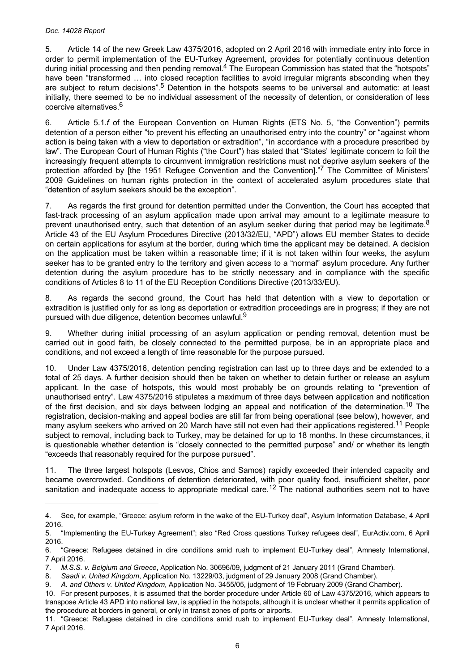#### *Doc. 14028 Report*

5. Article 14 of the new Greek Law 4375/2016, adopted on 2 April 2016 with immediate entry into force in order to permit implementation of the EU-Turkey Agreement, provides for potentially continuous detention during initial processing and then pending removal.4 The European Commission has stated that the "hotspots" have been "transformed ... into closed reception facilities to avoid irregular migrants absconding when they are subject to return decisions".<sup>5</sup> Detention in the hotspots seems to be universal and automatic: at least initially, there seemed to be no individual assessment of the necessity of detention, or consideration of less coercive alternatives.<sup>6</sup>

6. Article 5.1.*f* of the European Convention on Human Rights (ETS No. 5, "the Convention") permits detention of a person either "to prevent his effecting an unauthorised entry into the country" or "against whom action is being taken with a view to deportation or extradition", "in accordance with a procedure prescribed by law". The European Court of Human Rights ("the Court") has stated that "States' legitimate concern to foil the increasingly frequent attempts to circumvent immigration restrictions must not deprive asylum seekers of the protection afforded by [the 1951 Refugee Convention and the Convention]."<sup>7</sup> The Committee of Ministers' 2009 Guidelines on human rights protection in the context of accelerated asylum procedures state that "detention of asylum seekers should be the exception".

7. As regards the first ground for detention permitted under the Convention, the Court has accepted that fast-track processing of an asylum application made upon arrival may amount to a legitimate measure to prevent unauthorised entry, such that detention of an asylum seeker during that period may be legitimate.<sup>8</sup> Article 43 of the EU Asylum Procedures Directive (2013/32/EU, "APD") allows EU member States to decide on certain applications for asylum at the border, during which time the applicant may be detained. A decision on the application must be taken within a reasonable time; if it is not taken within four weeks, the asylum seeker has to be granted entry to the territory and given access to a "normal" asylum procedure. Any further detention during the asylum procedure has to be strictly necessary and in compliance with the specific conditions of Articles 8 to 11 of the EU Reception Conditions Directive (2013/33/EU).

8. As regards the second ground, the Court has held that detention with a view to deportation or extradition is justified only for as long as deportation or extradition proceedings are in progress; if they are not pursued with due diligence, detention becomes unlawful.<sup>9</sup>

9. Whether during initial processing of an asylum application or pending removal, detention must be carried out in good faith, be closely connected to the permitted purpose, be in an appropriate place and conditions, and not exceed a length of time reasonable for the purpose pursued.

10. Under Law 4375/2016, detention pending registration can last up to three days and be extended to a total of 25 days. A further decision should then be taken on whether to detain further or release an asylum applicant. In the case of hotspots, this would most probably be on grounds relating to "prevention of unauthorised entry". Law 4375/2016 stipulates a maximum of three days between application and notification of the first decision, and six days between lodging an appeal and notification of the determination.<sup>10</sup> The registration, decision-making and appeal bodies are still far from being operational (see below), however, and many asylum seekers who arrived on 20 March have still not even had their applications registered.<sup>11</sup> People subject to removal, including back to Turkey, may be detained for up to 18 months. In these circumstances, it is questionable whether detention is "closely connected to the permitted purpose" and/ or whether its length "exceeds that reasonably required for the purpose pursued".

11. The three largest hotspots (Lesvos, Chios and Samos) rapidly exceeded their intended capacity and became overcrowded. Conditions of detention deteriorated, with poor quality food, insufficient shelter, poor sanitation and inadequate access to appropriate medical care.<sup>12</sup> The national authorities seem not to have

<sup>4.</sup> See, for example, "Greece: asylum reform in the wake of the EU-Turkey deal", Asylum Information Database, 4 April 2016.

<sup>5. &</sup>quot;Implementing the EU-Turkey Agreement"; also "Red Cross questions Turkey refugees deal", EurActiv.com, 6 April 2016.

<sup>6. &</sup>quot;Greece: Refugees detained in dire conditions amid rush to implement EU-Turkey deal", Amnesty International, 7 April 2016.

<sup>7.</sup> *M.S.S. v. Belgium and Greece*, Application No. 30696/09, judgment of 21 January 2011 (Grand Chamber).

<sup>8.</sup> *Saadi v. United Kingdom*, Application No. 13229/03, judgment of 29 January 2008 (Grand Chamber).

<sup>9.</sup> *A. and Others v. United Kingdom*, Application No. 3455/05, judgment of 19 February 2009 (Grand Chamber).

<sup>10.</sup> For present purposes, it is assumed that the border procedure under Article 60 of Law 4375/2016, which appears to transpose Article 43 APD into national law, is applied in the hotspots, although it is unclear whether it permits application of the procedure at borders in general, or only in transit zones of ports or airports.

<sup>11. &</sup>quot;Greece: Refugees detained in dire conditions amid rush to implement EU-Turkey deal", Amnesty International, 7 April 2016.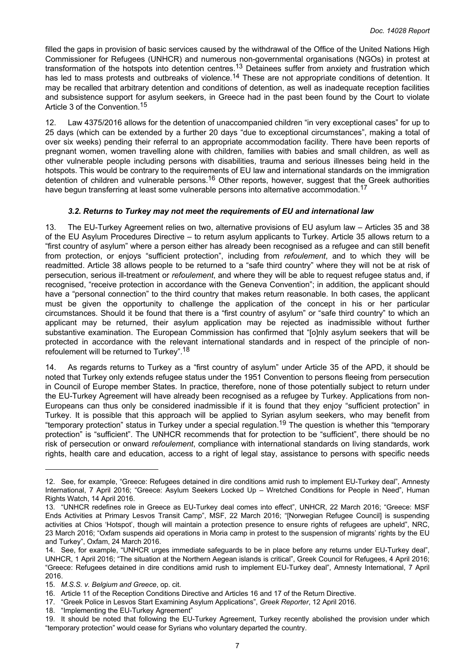<span id="page-6-0"></span>filled the gaps in provision of basic services caused by the withdrawal of the Office of the United Nations High Commissioner for Refugees (UNHCR) and numerous non-governmental organisations (NGOs) in protest at transformation of the hotspots into detention centres.<sup>13</sup> Detainees suffer from anxiety and frustration which has led to mass protests and outbreaks of violence.<sup>14</sup> These are not appropriate conditions of detention. It may be recalled that arbitrary detention and conditions of detention, as well as inadequate reception facilities and subsistence support for asylum seekers, in Greece had in the past been found by the Court to violate Article 3 of the Convention.<sup>15</sup>

12. Law 4375/2016 allows for the detention of unaccompanied children "in very exceptional cases" for up to 25 days (which can be extended by a further 20 days "due to exceptional circumstances", making a total of over six weeks) pending their referral to an appropriate accommodation facility. There have been reports of pregnant women, women travelling alone with children, families with babies and small children, as well as other vulnerable people including persons with disabilities, trauma and serious illnesses being held in the hotspots. This would be contrary to the requirements of EU law and international standards on the immigration detention of children and vulnerable persons.<sup>16</sup> Other reports, however, suggest that the Greek authorities have begun transferring at least some vulnerable persons into alternative accommodation.<sup>17</sup>

# *3.2. Returns to Turkey may not meet the requirements of EU and international law*

13. The EU-Turkey Agreement relies on two, alternative provisions of EU asylum law – Articles 35 and 38 of the EU Asylum Procedures Directive – to return asylum applicants to Turkey. Article 35 allows return to a "first country of asylum" where a person either has already been recognised as a refugee and can still benefit from protection, or enjoys "sufficient protection", including from *refoulement*, and to which they will be readmitted. Article 38 allows people to be returned to a "safe third country" where they will not be at risk of persecution, serious ill-treatment or *refoulement*, and where they will be able to request refugee status and, if recognised, "receive protection in accordance with the Geneva Convention"; in addition, the applicant should have a "personal connection" to the third country that makes return reasonable. In both cases, the applicant must be given the opportunity to challenge the application of the concept in his or her particular circumstances. Should it be found that there is a "first country of asylum" or "safe third country" to which an applicant may be returned, their asylum application may be rejected as inadmissible without further substantive examination. The European Commission has confirmed that "[o]nly asylum seekers that will be protected in accordance with the relevant international standards and in respect of the principle of nonrefoulement will be returned to Turkey".<sup>18</sup>

14. As regards returns to Turkey as a "first country of asylum" under Article 35 of the APD, it should be noted that Turkey only extends refugee status under the 1951 Convention to persons fleeing from persecution in Council of Europe member States. In practice, therefore, none of those potentially subject to return under the EU-Turkey Agreement will have already been recognised as a refugee by Turkey. Applications from non-Europeans can thus only be considered inadmissible if it is found that they enjoy "sufficient protection" in Turkey. It is possible that this approach will be applied to Syrian asylum seekers, who may benefit from "temporary protection" status in Turkey under a special regulation.<sup>19</sup> The question is whether this "temporary protection" is "sufficient". The UNHCR recommends that for protection to be "sufficient", there should be no risk of persecution or onward *refoulement*, compliance with international standards on living standards, work rights, health care and education, access to a right of legal stay, assistance to persons with specific needs

18. "Implementing the EU-Turkey Agreement"

<sup>12.</sup> See, for example, "Greece: Refugees detained in dire conditions amid rush to implement EU-Turkey deal", Amnesty International, 7 April 2016; "Greece: Asylum Seekers Locked Up – Wretched Conditions for People in Need", Human Rights Watch, 14 April 2016.

<sup>13. &</sup>quot;UNHCR redefines role in Greece as EU-Turkey deal comes into effect", UNHCR, 22 March 2016; "Greece: MSF Ends Activities at Primary Lesvos Transit Camp", MSF, 22 March 2016; "[Norwegian Refugee Council] is suspending activities at Chios 'Hotspot', though will maintain a protection presence to ensure rights of refugees are upheld", NRC, 23 March 2016; "Oxfam suspends aid operations in Moria camp in protest to the suspension of migrants' rights by the EU and Turkey", Oxfam, 24 March 2016.

<sup>14.</sup> See, for example, "UNHCR urges immediate safeguards to be in place before any returns under EU-Turkey deal", UNHCR, 1 April 2016; "The situation at the Northern Aegean islands is critical", Greek Council for Refugees, 4 April 2016; "Greece: Refugees detained in dire conditions amid rush to implement EU-Turkey deal", Amnesty International, 7 April 2016.

<sup>15.</sup> *M.S.S. v. Belgium and Greece*, op. cit.

<sup>16.</sup> Article 11 of the Reception Conditions Directive and Articles 16 and 17 of the Return Directive.

<sup>17. &</sup>quot;Greek Police in Lesvos Start Examining Asylum Applications", *Greek Reporter*, 12 April 2016.

<sup>19.</sup> It should be noted that following the EU-Turkey Agreement, Turkey recently abolished the provision under which "temporary protection" would cease for Syrians who voluntary departed the country.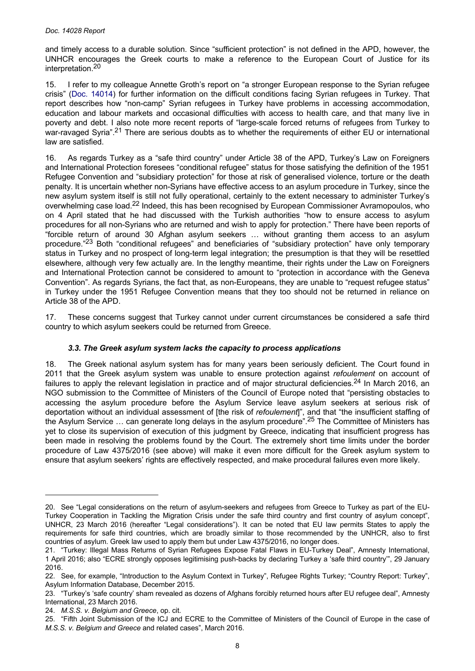<span id="page-7-0"></span>and timely access to a durable solution. Since "sufficient protection" is not defined in the APD, however, the UNHCR encourages the Greek courts to make a reference to the European Court of Justice for its interpretation.<sup>20</sup>

15. I refer to my colleague Annette Groth's report on "a stronger European response to the Syrian refugee crisis" (Doc. [14014\)](http://assembly.coe.int/nw/xml/XRef/Xref-DocDetails-en.asp?FileId=22568) for further information on the difficult conditions facing Syrian refugees in Turkey. That report describes how "non-camp" Syrian refugees in Turkey have problems in accessing accommodation, education and labour markets and occasional difficulties with access to health care, and that many live in poverty and debt. I also note more recent reports of "large-scale forced returns of refugees from Turkey to war-ravaged Syria".<sup>21</sup> There are serious doubts as to whether the requirements of either EU or international law are satisfied.

16. As regards Turkey as a "safe third country" under Article 38 of the APD, Turkey's Law on Foreigners and International Protection foresees "conditional refugee" status for those satisfying the definition of the 1951 Refugee Convention and "subsidiary protection" for those at risk of generalised violence, torture or the death penalty. It is uncertain whether non-Syrians have effective access to an asylum procedure in Turkey, since the new asylum system itself is still not fully operational, certainly to the extent necessary to administer Turkey's overwhelming case load.22 Indeed, this has been recognised by European Commissioner Avramopoulos, who on 4 April stated that he had discussed with the Turkish authorities "how to ensure access to asylum procedures for all non-Syrians who are returned and wish to apply for protection." There have been reports of "forcible return of around 30 Afghan asylum seekers … without granting them access to an asylum procedure."<sup>23</sup> Both "conditional refugees" and beneficiaries of "subsidiary protection" have only temporary status in Turkey and no prospect of long-term legal integration; the presumption is that they will be resettled elsewhere, although very few actually are. In the lengthy meantime, their rights under the Law on Foreigners and International Protection cannot be considered to amount to "protection in accordance with the Geneva Convention". As regards Syrians, the fact that, as non-Europeans, they are unable to "request refugee status" in Turkey under the 1951 Refugee Convention means that they too should not be returned in reliance on Article 38 of the APD.

17. These concerns suggest that Turkey cannot under current circumstances be considered a safe third country to which asylum seekers could be returned from Greece.

# *3.3. The Greek asylum system lacks the capacity to process applications*

18. The Greek national asylum system has for many years been seriously deficient. The Court found in 2011 that the Greek asylum system was unable to ensure protection against *refoulement* on account of failures to apply the relevant legislation in practice and of major structural deficiencies.<sup>24</sup> In March 2016, an NGO submission to the Committee of Ministers of the Council of Europe noted that "persisting obstacles to accessing the asylum procedure before the Asylum Service leave asylum seekers at serious risk of deportation without an individual assessment of [the risk of *refoulement*]", and that "the insufficient staffing of the Asylum Service … can generate long delays in the asylum procedure".<sup>25</sup> The Committee of Ministers has yet to close its supervision of execution of this judgment by Greece, indicating that insufficient progress has been made in resolving the problems found by the Court. The extremely short time limits under the border procedure of Law 4375/2016 (see above) will make it even more difficult for the Greek asylum system to ensure that asylum seekers' rights are effectively respected, and make procedural failures even more likely.

<sup>20.</sup> See "Legal considerations on the return of asylum-seekers and refugees from Greece to Turkey as part of the EU-Turkey Cooperation in Tackling the Migration Crisis under the safe third country and first country of asylum concept", UNHCR, 23 March 2016 (hereafter "Legal considerations"). It can be noted that EU law permits States to apply the requirements for safe third countries, which are broadly similar to those recommended by the UNHCR, also to first countries of asylum. Greek law used to apply them but under Law 4375/2016, no longer does.

<sup>21. &</sup>quot;Turkey: Illegal Mass Returns of Syrian Refugees Expose Fatal Flaws in EU-Turkey Deal", Amnesty International, 1 April 2016; also "ECRE strongly opposes legitimising push-backs by declaring Turkey a 'safe third country'", 29 January 2016.

<sup>22.</sup> See, for example, "Introduction to the Asylum Context in Turkey", Refugee Rights Turkey; "Country Report: Turkey", Asylum Information Database, December 2015.

<sup>23. &</sup>quot;Turkey's 'safe country' sham revealed as dozens of Afghans forcibly returned hours after EU refugee deal", Amnesty International, 23 March 2016.

<sup>24.</sup> *M.S.S. v. Belgium and Greece*, op. cit.

<sup>25. &</sup>quot;Fifth Joint Submission of the ICJ and ECRE to the Committee of Ministers of the Council of Europe in the case of *M.S.S. v. Belgium and Greece* and related cases", March 2016.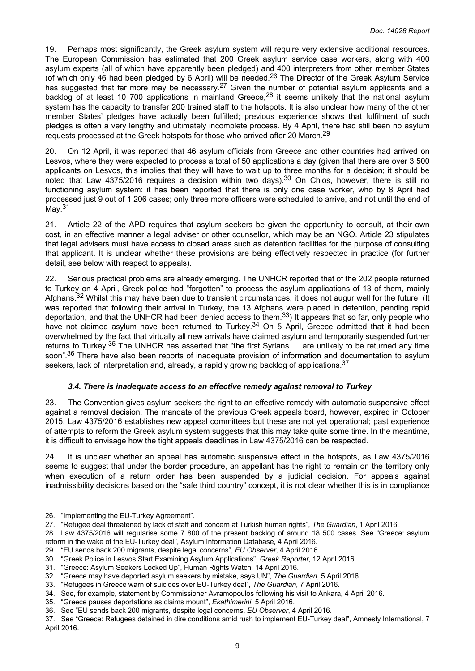<span id="page-8-0"></span>19. Perhaps most significantly, the Greek asylum system will require very extensive additional resources. The European Commission has estimated that 200 Greek asylum service case workers, along with 400 asylum experts (all of which have apparently been pledged) and 400 interpreters from other member States (of which only 46 had been pledged by 6 April) will be needed.<sup>26</sup> The Director of the Greek Asylum Service has suggested that far more may be necessary.<sup>27</sup> Given the number of potential asylum applicants and a backlog of at least 10 700 applications in mainland Greece,<sup>28</sup> it seems unlikely that the national asylum system has the capacity to transfer 200 trained staff to the hotspots. It is also unclear how many of the other member States' pledges have actually been fulfilled; previous experience shows that fulfilment of such pledges is often a very lengthy and ultimately incomplete process. By 4 April, there had still been no asylum requests processed at the Greek hotspots for those who arrived after 20 March.<sup>29</sup>

20. On 12 April, it was reported that 46 asylum officials from Greece and other countries had arrived on Lesvos, where they were expected to process a total of 50 applications a day (given that there are over 3 500 applicants on Lesvos, this implies that they will have to wait up to three months for a decision; it should be noted that Law 4375/2016 requires a decision within two days).<sup>30</sup> On Chios, however, there is still no functioning asylum system: it has been reported that there is only one case worker, who by 8 April had processed just 9 out of 1 206 cases; only three more officers were scheduled to arrive, and not until the end of May.<sup>31</sup>

21. Article 22 of the APD requires that asylum seekers be given the opportunity to consult, at their own cost, in an effective manner a legal adviser or other counsellor, which may be an NGO. Article 23 stipulates that legal advisers must have access to closed areas such as detention facilities for the purpose of consulting that applicant. It is unclear whether these provisions are being effectively respected in practice (for further detail, see below with respect to appeals).

22. Serious practical problems are already emerging. The UNHCR reported that of the 202 people returned to Turkey on 4 April, Greek police had "forgotten" to process the asylum applications of 13 of them, mainly Afghans.<sup>32</sup> Whilst this may have been due to transient circumstances, it does not augur well for the future. (It was reported that following their arrival in Turkey, the 13 Afghans were placed in detention, pending rapid deportation, and that the UNHCR had been denied access to them.<sup>33</sup>) It appears that so far, only people who have not claimed asylum have been returned to Turkey.<sup>34</sup> On 5 April, Greece admitted that it had been overwhelmed by the fact that virtually all new arrivals have claimed asylum and temporarily suspended further returns to Turkey.<sup>35</sup> The UNHCR has asserted that "the first Syrians … are unlikely to be returned any time soon".<sup>36</sup> There have also been reports of inadequate provision of information and documentation to asylum seekers, lack of interpretation and, already, a rapidly growing backlog of applications.<sup>37</sup>

# *3.4. There is inadequate access to an effective remedy against removal to Turkey*

23. The Convention gives asylum seekers the right to an effective remedy with automatic suspensive effect against a removal decision. The mandate of the previous Greek appeals board, however, expired in October 2015. Law 4375/2016 establishes new appeal committees but these are not yet operational; past experience of attempts to reform the Greek asylum system suggests that this may take quite some time. In the meantime, it is difficult to envisage how the tight appeals deadlines in Law 4375/2016 can be respected.

24. It is unclear whether an appeal has automatic suspensive effect in the hotspots, as Law 4375/2016 seems to suggest that under the border procedure, an appellant has the right to remain on the territory only when execution of a return order has been suspended by a judicial decision. For appeals against inadmissibility decisions based on the "safe third country" concept, it is not clear whether this is in compliance

<sup>26. &</sup>quot;Implementing the EU-Turkey Agreement".

<sup>27. &</sup>quot;Refugee deal threatened by lack of staff and concern at Turkish human rights", *The Guardian*, 1 April 2016.

<sup>28.</sup> Law 4375/2016 will regularise some 7 800 of the present backlog of around 18 500 cases. See "Greece: asylum reform in the wake of the EU-Turkey deal", Asylum Information Database, 4 April 2016.

<sup>29. &</sup>quot;EU sends back 200 migrants, despite legal concerns", *EU Observer*, 4 April 2016.

<sup>30. &</sup>quot;Greek Police in Lesvos Start Examining Asylum Applications", *Greek Reporter*, 12 April 2016.

<sup>31. &</sup>quot;Greece: Asylum Seekers Locked Up", Human Rights Watch, 14 April 2016.

<sup>32. &</sup>quot;Greece may have deported asylum seekers by mistake, says UN", *The Guardian*, 5 April 2016.

<sup>33. &</sup>quot;Refugees in Greece warn of suicides over EU-Turkey deal", *The Guardian*, 7 April 2016.

<sup>34.</sup> See, for example, statement by Commissioner Avramopoulos following his visit to Ankara, 4 April 2016.

<sup>35. &</sup>quot;Greece pauses deportations as claims mount", *Ekathimerini*, 5 April 2016.

<sup>36.</sup> See "EU sends back 200 migrants, despite legal concerns, *EU Observer*, 4 April 2016.

<sup>37.</sup> See "Greece: Refugees detained in dire conditions amid rush to implement EU-Turkey deal", Amnesty International, 7 April 2016.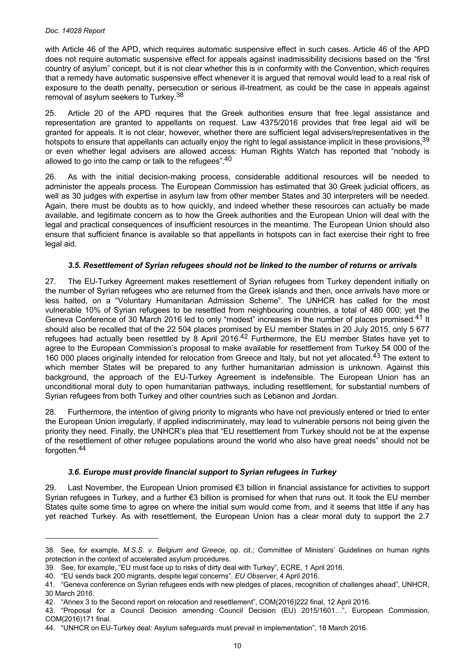<span id="page-9-0"></span>with Article 46 of the APD, which requires automatic suspensive effect in such cases. Article 46 of the APD does not require automatic suspensive effect for appeals against inadmissibility decisions based on the "first country of asylum" concept, but it is not clear whether this is in conformity with the Convention, which requires that a remedy have automatic suspensive effect whenever it is argued that removal would lead to a real risk of exposure to the death penalty, persecution or serious ill-treatment, as could be the case in appeals against removal of asylum seekers to Turkey.<sup>38</sup>

25. Article 20 of the APD requires that the Greek authorities ensure that free legal assistance and representation are granted to appellants on request. Law 4375/2016 provides that free legal aid will be granted for appeals. It is not clear, however, whether there are sufficient legal advisers/representatives in the hotspots to ensure that appellants can actually enjoy the right to legal assistance implicit in these provisions, 39 or even whether legal advisers are allowed access: Human Rights Watch has reported that "nobody is allowed to go into the camp or talk to the refugees".<sup>40</sup>

26. As with the initial decision-making process, considerable additional resources will be needed to administer the appeals process. The European Commission has estimated that 30 Greek judicial officers, as well as 30 judges with expertise in asylum law from other member States and 30 interpreters will be needed. Again, there must be doubts as to how quickly, and indeed whether these resources can actually be made available, and legitimate concern as to how the Greek authorities and the European Union will deal with the legal and practical consequences of insufficient resources in the meantime. The European Union should also ensure that sufficient finance is available so that appellants in hotspots can in fact exercise their right to free legal aid.

# *3.5. Resettlement of Syrian refugees should not be linked to the number of returns or arrivals*

27. The EU-Turkey Agreement makes resettlement of Syrian refugees from Turkey dependent initially on the number of Syrian refugees who are returned from the Greek islands and then, once arrivals have more or less halted, on a "Voluntary Humanitarian Admission Scheme". The UNHCR has called for the most vulnerable 10% of Syrian refugees to be resettled from neighbouring countries, a total of 480 000; yet the Geneva Conference of 30 March 2016 led to only "modest" increases in the number of places promised.<sup>41</sup> It should also be recalled that of the 22 504 places promised by EU member States in 20 July 2015, only 5 677 refugees had actually been resettled by 8 April 2016.<sup>42</sup> Furthermore, the EU member States have yet to agree to the European Commission's proposal to make available for resettlement from Turkey 54 000 of the 160 000 places originally intended for relocation from Greece and Italy, but not yet allocated.<sup>43</sup> The extent to which member States will be prepared to any further humanitarian admission is unknown. Against this background, the approach of the EU-Turkey Agreement is indefensible. The European Union has an unconditional moral duty to open humanitarian pathways, including resettlement, for substantial numbers of Syrian refugees from both Turkey and other countries such as Lebanon and Jordan.

28. Furthermore, the intention of giving priority to migrants who have not previously entered or tried to enter the European Union irregularly, if applied indiscriminately, may lead to vulnerable persons not being given the priority they need. Finally, the UNHCR's plea that "EU resettlement from Turkey should not be at the expense of the resettlement of other refugee populations around the world who also have great needs" should not be forgotten.<sup>44</sup>

# *3.6. Europe must provide financial support to Syrian refugees in Turkey*

29. Last November, the European Union promised €3 billion in financial assistance for activities to support Syrian refugees in Turkey, and a further €3 billion is promised for when that runs out. It took the EU member States quite some time to agree on where the initial sum would come from, and it seems that little if any has yet reached Turkey. As with resettlement, the European Union has a clear moral duty to support the 2.7

<sup>38.</sup> See, for example, *M.S.S. v. Belgium and Greece*, op. cit.; Committee of Ministers' Guidelines on human rights protection in the context of accelerated asylum procedures.

<sup>39.</sup> See, for example, "EU must face up to risks of dirty deal with Turkey", ECRE, 1 April 2016.

<sup>40. &</sup>quot;EU sends back 200 migrants, despite legal concerns", *EU Observer*, 4 April 2016.

<sup>41. &</sup>quot;Geneva conference on Syrian refugees ends with new pledges of places, recognition of challenges ahead", UNHCR, 30 March 2016.

<sup>42. &</sup>quot;Annex 3 to the Second report on relocation and resettlement", COM(2016)222 final, 12 April 2016.

<sup>43. &</sup>quot;Proposal for a Council Decision amending Council Decision (EU) 2015/1601…", European Commission, COM(2016)171 final.

<sup>44. &</sup>quot;UNHCR on EU-Turkey deal: Asylum safeguards must prevail in implementation", 18 March 2016.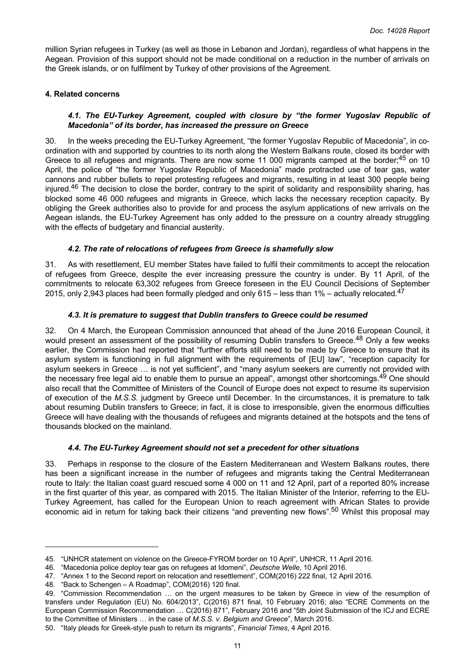<span id="page-10-0"></span>million Syrian refugees in Turkey (as well as those in Lebanon and Jordan), regardless of what happens in the Aegean. Provision of this support should not be made conditional on a reduction in the number of arrivals on the Greek islands, or on fulfilment by Turkey of other provisions of the Agreement.

## **4. Related concerns**

# *4.1. The EU-Turkey Agreement, coupled with closure by "the former Yugoslav Republic of Macedonia" of its border, has increased the pressure on Greece*

30. In the weeks preceding the EU-Turkey Agreement, "the former Yugoslav Republic of Macedonia", in coordination with and supported by countries to its north along the Western Balkans route, closed its border with Greece to all refugees and migrants. There are now some 11 000 migrants camped at the border;<sup>45</sup> on 10 April, the police of "the former Yugoslav Republic of Macedonia" made protracted use of tear gas, water cannons and rubber bullets to repel protesting refugees and migrants, resulting in at least 300 people being injured.<sup>46</sup> The decision to close the border, contrary to the spirit of solidarity and responsibility sharing, has blocked some 46 000 refugees and migrants in Greece, which lacks the necessary reception capacity. By obliging the Greek authorities also to provide for and process the asylum applications of new arrivals on the Aegean islands, the EU-Turkey Agreement has only added to the pressure on a country already struggling with the effects of budgetary and financial austerity.

# *4.2. The rate of relocations of refugees from Greece is shamefully slow*

31. As with resettlement, EU member States have failed to fulfil their commitments to accept the relocation of refugees from Greece, despite the ever increasing pressure the country is under. By 11 April, of the commitments to relocate 63,302 refugees from Greece foreseen in the EU Council Decisions of September 2015, only 2,943 places had been formally pledged and only 615 – less than 1% – actually relocated.<sup>47</sup>

## *4.3. It is premature to suggest that Dublin transfers to Greece could be resumed*

32. On 4 March, the European Commission announced that ahead of the June 2016 European Council, it would present an assessment of the possibility of resuming Dublin transfers to Greece.<sup>48</sup> Only a few weeks earlier, the Commission had reported that "further efforts still need to be made by Greece to ensure that its asylum system is functioning in full alignment with the requirements of [EU] law", "reception capacity for asylum seekers in Greece … is not yet sufficient", and "many asylum seekers are currently not provided with the necessary free legal aid to enable them to pursue an appeal", amongst other shortcomings.<sup>49</sup> One should also recall that the Committee of Ministers of the Council of Europe does not expect to resume its supervision of execution of the *M.S.S.* judgment by Greece until December. In the circumstances, it is premature to talk about resuming Dublin transfers to Greece; in fact, it is close to irresponsible, given the enormous difficulties Greece will have dealing with the thousands of refugees and migrants detained at the hotspots and the tens of thousands blocked on the mainland.

#### *4.4. The EU-Turkey Agreement should not set a precedent for other situations*

33. Perhaps in response to the closure of the Eastern Mediterranean and Western Balkans routes, there has been a significant increase in the number of refugees and migrants taking the Central Mediterranean route to Italy: the Italian coast guard rescued some 4 000 on 11 and 12 April, part of a reported 80% increase in the first quarter of this year, as compared with 2015. The Italian Minister of the Interior, referring to the EU-Turkey Agreement, has called for the European Union to reach agreement with African States to provide economic aid in return for taking back their citizens "and preventing new flows".<sup>50</sup> Whilst this proposal mav

48. "Back to Schengen – A Roadmap", COM(2016) 120 final.

<sup>45. &</sup>quot;UNHCR statement on violence on the Greece-FYROM border on 10 April", UNHCR, 11 April 2016.

<sup>46. &</sup>quot;Macedonia police deploy tear gas on refugees at Idomeni", *Deutsche Welle*, 10 April 2016.

<sup>47. &</sup>quot;Annex 1 to the Second report on relocation and resettlement", COM(2016) 222 final, 12 April 2016.

<sup>49. &</sup>quot;Commission Recommendation … on the urgent measures to be taken by Greece in view of the resumption of transfers under Regulation (EU) No. 604/2013", C(2016) 871 final, 10 February 2016; also "ECRE Comments on the European Commission Recommendation … C(2016) 871", February 2016 and "5th Joint Submission of the ICJ and ECRE to the Committee of Ministers … in the case of *M.S.S. v. Belgium and Greece*", March 2016.

<sup>50. &</sup>quot;Italy pleads for Greek-style push to return its migrants", *Financial Times*, 4 April 2016.